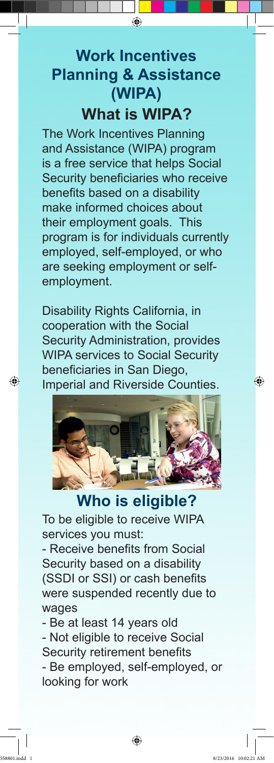## **What is WIPA? Work Incentives Planning & Assistance (WIPA)**

The Work Incentives Planning and Assistance (WIPA) program is a free service that helps Social Security beneficiaries who receive benefits based on a disability make informed choices about their employment goals. This program is for individuals currently employed, self-employed, or who are seeking employment or selfemployment.

Disability Rights California, in cooperation with the Social Security Administration, provides WIPA services to Social Security beneficiaries in San Diego, Imperial and Riverside Counties.



**Who is eligible?** To be eligible to receive WIPA services you must:

- Receive benefits from Social Security based on a disability (SSDI or SSI) or cash benefits were suspended recently due to wages

- Be at least 14 years old

- Not eligible to receive Social

Security retirement benefits

- Be employed, self-employed, or looking for work